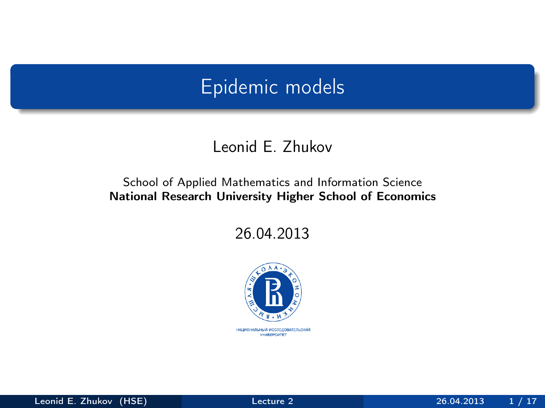# Epidemic models

#### Leonid E. Zhukov

#### School of Applied Mathematics and Information Science National Research University Higher School of Economics

26.04.2013

<span id="page-0-0"></span>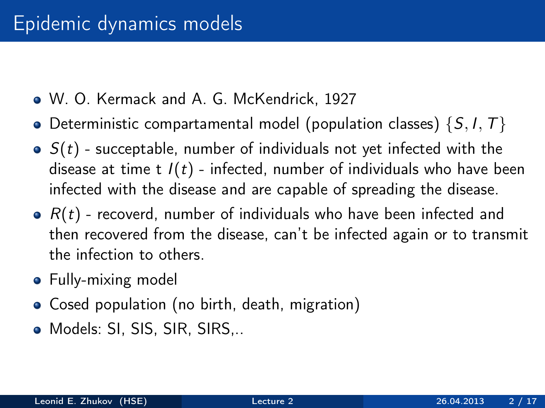- W. O. Kermack and A. G. McKendrick, 1927
- Deterministic compartamental model (population classes)  $\{S, I, T\}$
- $\bullet$   $S(t)$  succeptable, number of individuals not yet infected with the disease at time t  $I(t)$  - infected, number of individuals who have been infected with the disease and are capable of spreading the disease.
- $\bullet$   $R(t)$  recoverd, number of individuals who have been infected and then recovered from the disease, can't be infected again or to transmit the infection to others.
- Fully-mixing model
- Cosed population (no birth, death, migration)
- Models: SI, SIS, SIR, SIRS,..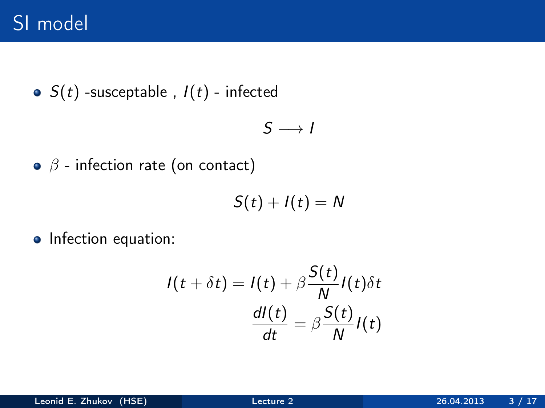• 
$$
S(t)
$$
 -susceptable,  $I(t)$  - infected

$$
S\longrightarrow I
$$

 $\bullet$   $\beta$  - infection rate (on contact)

$$
S(t)+I(t)=N
$$

• Infection equation:

$$
I(t + \delta t) = I(t) + \beta \frac{S(t)}{N} I(t) \delta t
$$

$$
\frac{dI(t)}{dt} = \beta \frac{S(t)}{N} I(t)
$$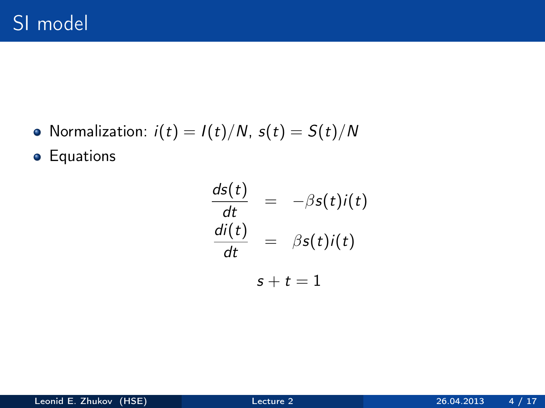• Normalization:  $i(t) = I(t)/N$ ,  $s(t) = S(t)/N$ 

**•** Equations

$$
\frac{ds(t)}{dt} = -\beta s(t)i(t)
$$

$$
\frac{di(t)}{dt} = \beta s(t)i(t)
$$

$$
s + t = 1
$$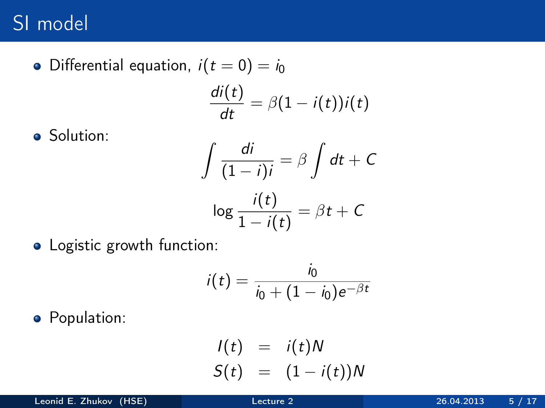• Differential equation,  $i(t = 0) = i_0$  $\frac{di(t)}{dt} = \beta(1 - i(t))i(t)$ 

• Solution:

$$
\int \frac{di}{(1-i)i} = \beta \int dt + C
$$

$$
\log \frac{i(t)}{1-i(t)} = \beta t + C
$$

• Logistic growth function:

$$
i(t) = \frac{i_0}{i_0 + (1 - i_0)e^{-\beta t}}
$$

**•** Population:

$$
I(t) = i(t)N
$$
  

$$
S(t) = (1 - i(t))N
$$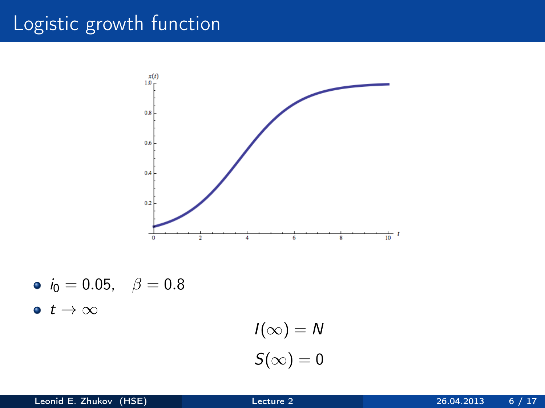# Logistic growth function



\n- $$
i_0 = 0.05
$$
,  $\beta = 0.8$
\n- $t \to \infty$
\n

$$
I(\infty) = N
$$

$$
S(\infty) = 0
$$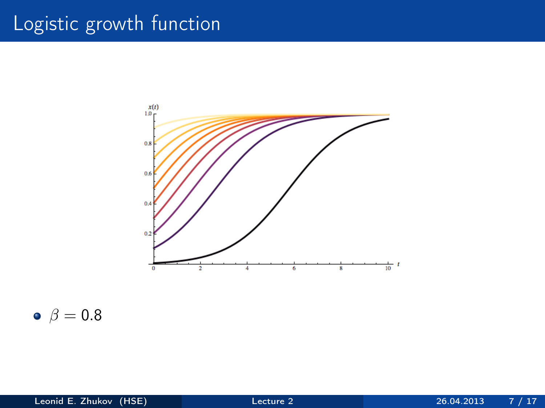# Logistic growth function



 $\bullet$   $\beta = 0.8$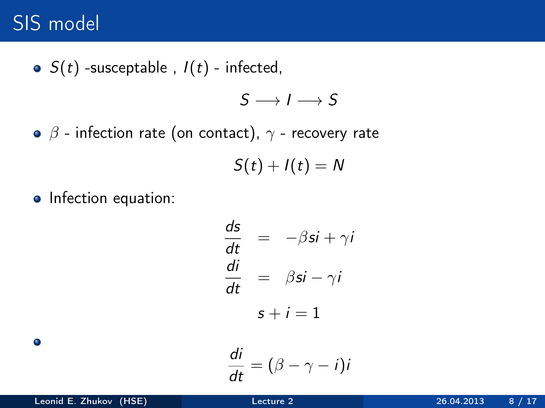# SIS model

• 
$$
S(t)
$$
 -susceptable,  $I(t)$  - infected,

$$
S\longrightarrow I\longrightarrow S
$$

 $\bullet$   $\beta$  - infection rate (on contact),  $\gamma$  - recovery rate

 $S(t) + I(t) = N$ 

• Infection equation:

$$
\frac{ds}{dt} = -\beta si + \gamma i
$$
  

$$
\frac{di}{dt} = \beta si - \gamma i
$$
  

$$
s + i = 1
$$

$$
\frac{di}{dt}=(\beta-\gamma-i)i
$$

 $\bullet$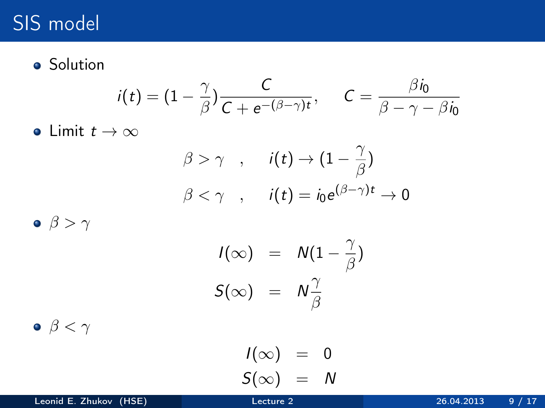# SIS model

**o** Solution

$$
i(t) = (1 - \frac{\gamma}{\beta}) \frac{C}{C + e^{-(\beta - \gamma)t}}, \quad C = \frac{\beta i_0}{\beta - \gamma - \beta i_0}
$$

• Limit  $t \to \infty$ 

$$
\begin{aligned}\n\beta > \gamma \quad , \quad i(t) \to (1 - \frac{\gamma}{\beta}) \\
\beta < \gamma \quad , \quad i(t) = i_0 e^{(\beta - \gamma)t} \to 0\n\end{aligned}
$$

 $\bullet$   $\beta > \gamma$ 

$$
I(\infty) = N(1 - \frac{\gamma}{\beta})
$$
  

$$
S(\infty) = N\frac{\gamma}{\beta}
$$

 $\bullet$   $\beta < \gamma$ 

$$
\begin{array}{rcl} I(\infty) & = & 0 \\ S(\infty) & = & N \end{array}
$$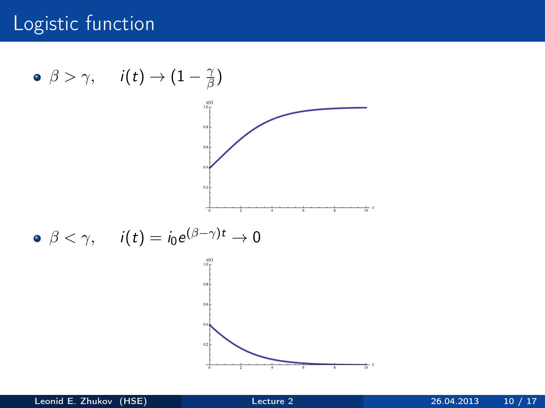### Logistic function

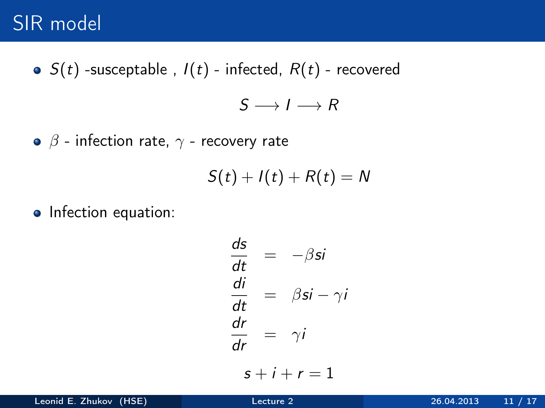• 
$$
S(t)
$$
 -susceptable,  $I(t)$  - infected,  $R(t)$  - recovered

 $S \longrightarrow I \longrightarrow R$ 

 $\bullet$   $\beta$  - infection rate,  $\gamma$  - recovery rate

$$
S(t)+I(t)+R(t)=N
$$

• Infection equation:

$$
\frac{ds}{dt} = -\beta si
$$
  

$$
\frac{di}{dt} = \beta si - \gamma i
$$
  

$$
\frac{dr}{dr} = \gamma i
$$
  

$$
s + i + r = 1
$$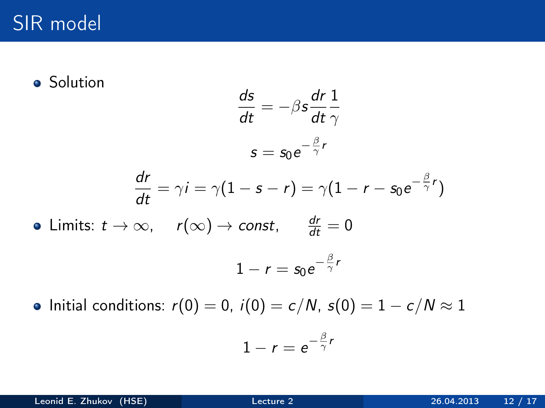$\bullet$ 

**•** Solution

$$
\frac{ds}{dt} = -\beta s \frac{dr}{dt} \frac{1}{\gamma}
$$

$$
s = s_0 e^{-\frac{\beta}{\gamma}r}
$$

$$
\frac{dr}{dt} = \gamma i = \gamma (1 - s - r) = \gamma (1 - r - s_0 e^{-\frac{\beta}{\gamma}r})
$$
  
Limits:  $t \to \infty$ ,  $r(\infty) \to const$ ,  $\frac{dr}{dt} = 0$   
 $1 - r = s_0 e^{-\frac{\beta}{\gamma}r}$ 

• Initial conditions:  $r(0) = 0$ ,  $i(0) = c/N$ ,  $s(0) = 1 - c/N \approx 1$ 

$$
1-r=e^{-\frac{\beta}{\gamma}r}
$$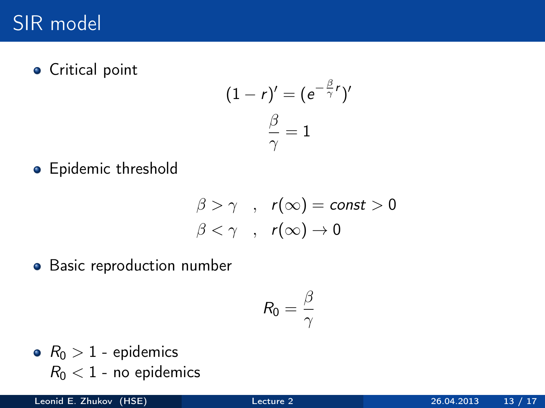**•** Critical point

$$
(1 - r)' = (e^{-\frac{\beta}{\gamma}r})'
$$

$$
\frac{\beta}{\gamma} = 1
$$

• Epidemic threshold

$$
\begin{array}{ccc}\n\beta > \gamma & , & r(\infty) = \text{const} > 0 \\
\beta < \gamma & , & r(\infty) \to 0\n\end{array}
$$

**•** Basic reproduction number

$$
R_0=\frac{\beta}{\gamma}
$$

•  $R_0 > 1$  - epidemics  $R_0 < 1$  - no epidemics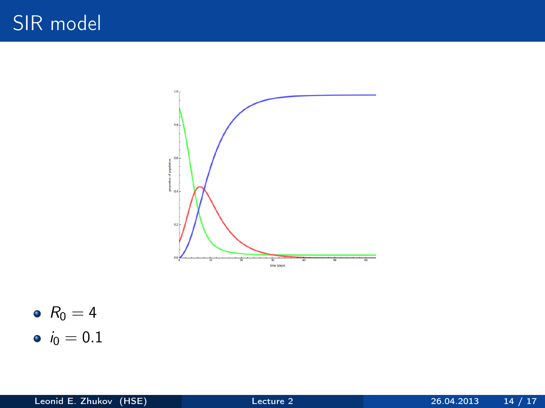



•  $i_0 = 0.1$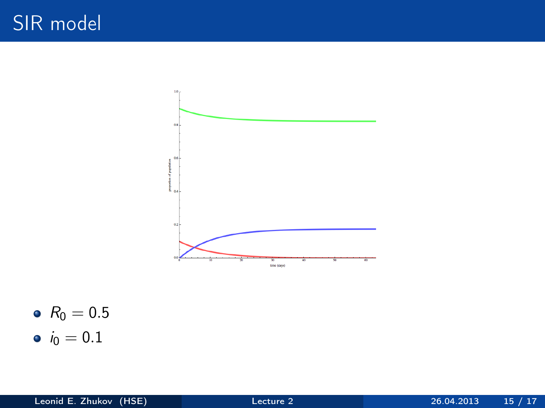

•  $R_0 = 0.5$ 

•  $i_0 = 0.1$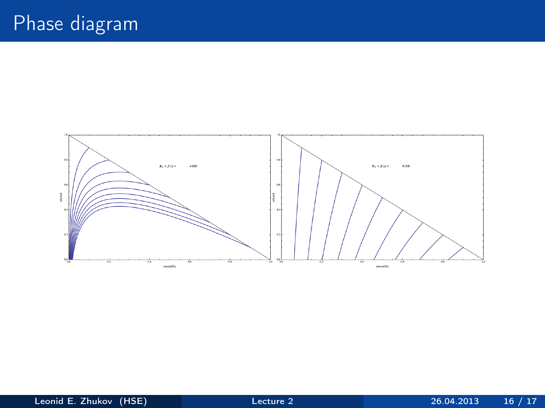